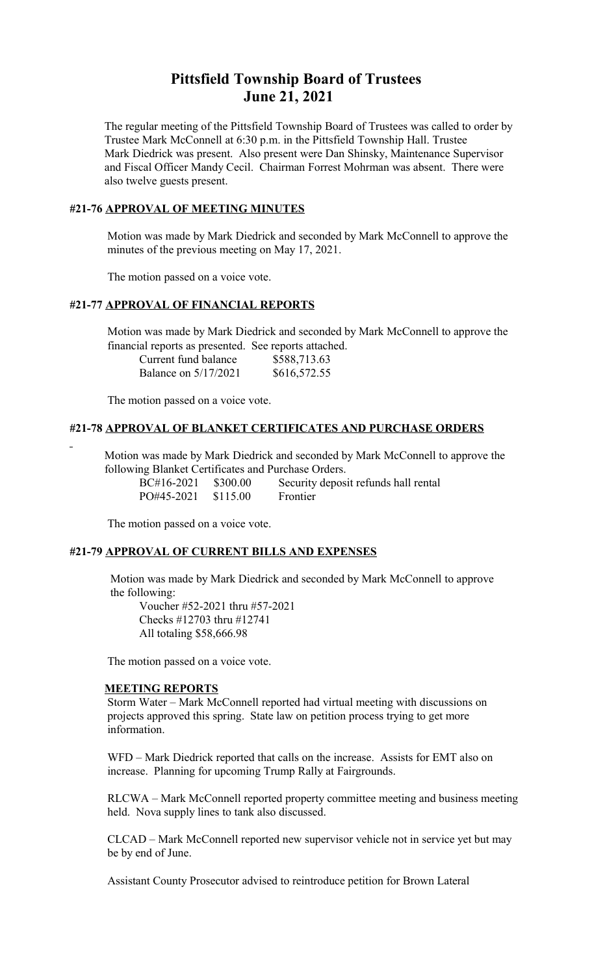# **Pittsfield Township Board of Trustees June 21, 2021**

The regular meeting of the Pittsfield Township Board of Trustees was called to order by Trustee Mark McConnell at 6:30 p.m. in the Pittsfield Township Hall. Trustee Mark Diedrick was present. Also present were Dan Shinsky, Maintenance Supervisor and Fiscal Officer Mandy Cecil. Chairman Forrest Mohrman was absent. There were also twelve guests present.

### **#21-76 APPROVAL OF MEETING MINUTES**

 Motion was made by Mark Diedrick and seconded by Mark McConnell to approve the minutes of the previous meeting on May 17, 2021.

The motion passed on a voice vote.

#### **#21-77 APPROVAL OF FINANCIAL REPORTS**

 Motion was made by Mark Diedrick and seconded by Mark McConnell to approve the financial reports as presented. See reports attached.

| Current fund balance | \$588,713.63 |
|----------------------|--------------|
| Balance on 5/17/2021 | \$616,572.55 |

The motion passed on a voice vote.

### **#21-78 APPROVAL OF BLANKET CERTIFICATES AND PURCHASE ORDERS**

 Motion was made by Mark Diedrick and seconded by Mark McConnell to approve the following Blanket Certificates and Purchase Orders.

| BC#16-2021 \$300.00   | Security deposit refunds hall rental |
|-----------------------|--------------------------------------|
| $PO#45-2021$ \$115.00 | Frontier                             |

The motion passed on a voice vote.

### **#21-79 APPROVAL OF CURRENT BILLS AND EXPENSES**

 Motion was made by Mark Diedrick and seconded by Mark McConnell to approve the following:

Voucher #52-2021 thru #57-2021 Checks #12703 thru #12741 All totaling \$58,666.98

The motion passed on a voice vote.

#### **MEETING REPORTS**

Storm Water – Mark McConnell reported had virtual meeting with discussions on projects approved this spring. State law on petition process trying to get more information.

WFD – Mark Diedrick reported that calls on the increase. Assists for EMT also on increase. Planning for upcoming Trump Rally at Fairgrounds.

RLCWA – Mark McConnell reported property committee meeting and business meeting held. Nova supply lines to tank also discussed.

CLCAD – Mark McConnell reported new supervisor vehicle not in service yet but may be by end of June.

Assistant County Prosecutor advised to reintroduce petition for Brown Lateral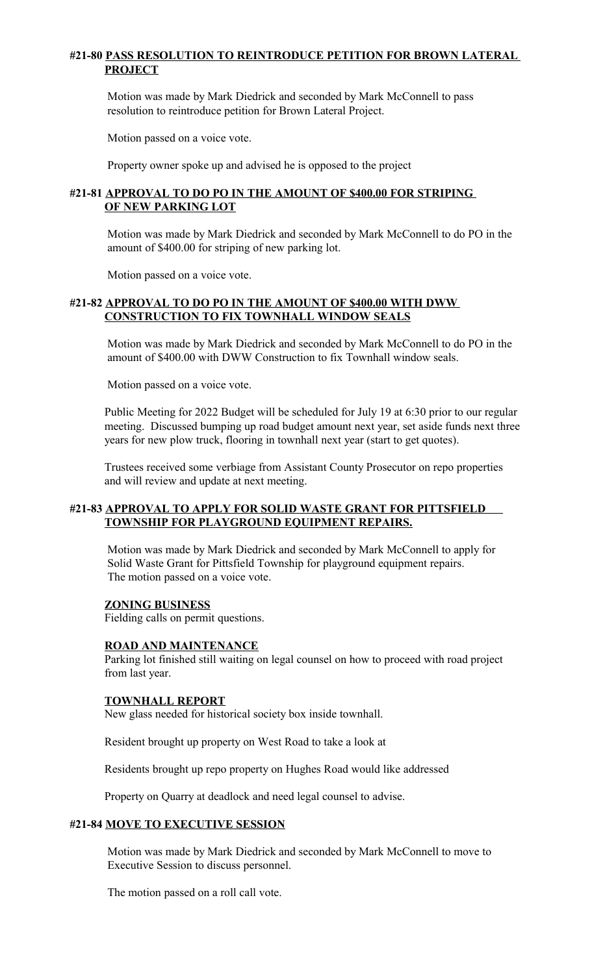# **#21-80 PASS RESOLUTION TO REINTRODUCE PETITION FOR BROWN LATERAL PROJECT**

Motion was made by Mark Diedrick and seconded by Mark McConnell to pass resolution to reintroduce petition for Brown Lateral Project.

Motion passed on a voice vote.

Property owner spoke up and advised he is opposed to the project

## **#21-81 APPROVAL TO DO PO IN THE AMOUNT OF \$400.00 FOR STRIPING OF NEW PARKING LOT**

Motion was made by Mark Diedrick and seconded by Mark McConnell to do PO in the amount of \$400.00 for striping of new parking lot.

Motion passed on a voice vote.

## **#21-82 APPROVAL TO DO PO IN THE AMOUNT OF \$400.00 WITH DWW CONSTRUCTION TO FIX TOWNHALL WINDOW SEALS**

Motion was made by Mark Diedrick and seconded by Mark McConnell to do PO in the amount of \$400.00 with DWW Construction to fix Townhall window seals.

Motion passed on a voice vote.

Public Meeting for 2022 Budget will be scheduled for July 19 at 6:30 prior to our regular meeting. Discussed bumping up road budget amount next year, set aside funds next three years for new plow truck, flooring in townhall next year (start to get quotes).

Trustees received some verbiage from Assistant County Prosecutor on repo properties and will review and update at next meeting.

## **#21-83 APPROVAL TO APPLY FOR SOLID WASTE GRANT FOR PITTSFIELD TOWNSHIP FOR PLAYGROUND EQUIPMENT REPAIRS.**

Motion was made by Mark Diedrick and seconded by Mark McConnell to apply for Solid Waste Grant for Pittsfield Township for playground equipment repairs. The motion passed on a voice vote.

#### **ZONING BUSINESS**

Fielding calls on permit questions.

### **ROAD AND MAINTENANCE**

Parking lot finished still waiting on legal counsel on how to proceed with road project from last year.

#### **TOWNHALL REPORT**

New glass needed for historical society box inside townhall.

Resident brought up property on West Road to take a look at

Residents brought up repo property on Hughes Road would like addressed

Property on Quarry at deadlock and need legal counsel to advise.

#### **#21-84 MOVE TO EXECUTIVE SESSION**

 Motion was made by Mark Diedrick and seconded by Mark McConnell to move to Executive Session to discuss personnel.

The motion passed on a roll call vote.